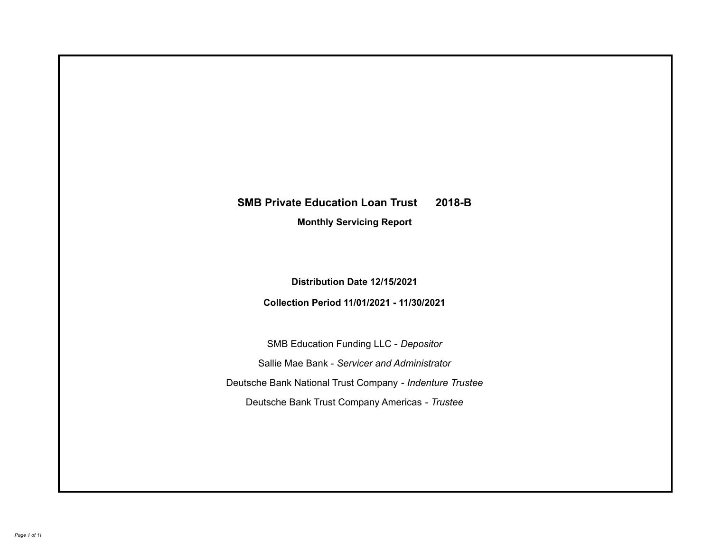# **SMB Private Education Loan Trust 2018-B**

**Monthly Servicing Report**

**Distribution Date 12/15/2021**

**Collection Period 11/01/2021 - 11/30/2021**

SMB Education Funding LLC - *Depositor* Sallie Mae Bank - *Servicer and Administrator* Deutsche Bank National Trust Company - *Indenture Trustee* Deutsche Bank Trust Company Americas - *Trustee*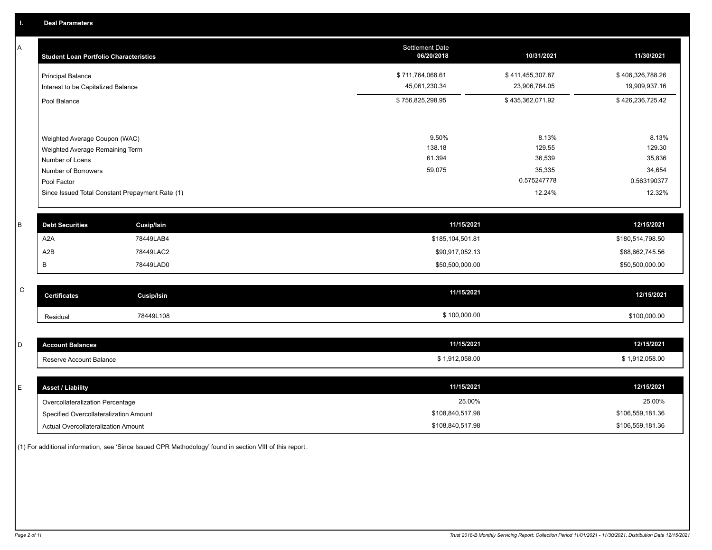A

| A | <b>Student Loan Portfolio Characteristics</b>                    |                                                 | <b>Settlement Date</b><br>06/20/2018 | 10/31/2021                        | 11/30/2021                        |
|---|------------------------------------------------------------------|-------------------------------------------------|--------------------------------------|-----------------------------------|-----------------------------------|
|   | <b>Principal Balance</b><br>Interest to be Capitalized Balance   |                                                 | \$711,764,068.61<br>45,061,230.34    | \$411,455,307.87<br>23,906,764.05 | \$406,326,788.26<br>19,909,937.16 |
|   | Pool Balance                                                     |                                                 | \$756,825,298.95                     | \$435,362,071.92                  | \$426,236,725.42                  |
|   | Weighted Average Coupon (WAC)<br>Weighted Average Remaining Term |                                                 | 9.50%<br>138.18                      | 8.13%<br>129.55                   | 8.13%<br>129.30                   |
|   | Number of Loans                                                  |                                                 | 61,394                               | 36,539                            | 35,836                            |
|   | Number of Borrowers<br>Pool Factor                               |                                                 | 59,075                               | 35,335<br>0.575247778             | 34,654<br>0.563190377             |
|   |                                                                  | Since Issued Total Constant Prepayment Rate (1) |                                      | 12.24%                            | 12.32%                            |
|   |                                                                  |                                                 |                                      |                                   |                                   |
| B | <b>Debt Securities</b>                                           | <b>Cusip/Isin</b>                               |                                      | 11/15/2021                        | 12/15/2021                        |
|   | A <sub>2</sub> A                                                 | 78449LAB4                                       | \$185,104,501.81                     |                                   | \$180,514,798.50                  |
|   | A2B                                                              | 78449LAC2                                       | \$90,917,052.13                      |                                   | \$88,662,745.56                   |
|   | В                                                                | 78449LAD0                                       | \$50,500,000.00                      |                                   | \$50,500,000.00                   |

| C | <b>Certificates</b> | Cusip/Isin | 11/15/2021   | 12/15/2021   |
|---|---------------------|------------|--------------|--------------|
|   | Residual            | 78449L108  | \$100,000.00 | \$100,000.00 |

| -<br>ັ | t Balances<br><b>AND 32</b><br>досо | 11/15/2021     | 12/15/2021   |
|--------|-------------------------------------|----------------|--------------|
|        | Reserve Account Balance             | \$1,912,058.00 | 1,912,058.00 |

| <b>Asset / Liability</b>               | 11/15/2021       | 12/15/2021       |
|----------------------------------------|------------------|------------------|
| Overcollateralization Percentage       | 25.00%           | 25.00%           |
| Specified Overcollateralization Amount | \$108,840,517.98 | \$106,559,181.36 |
| Actual Overcollateralization Amount    | \$108,840,517.98 | \$106,559,181.36 |

(1) For additional information, see 'Since Issued CPR Methodology' found in section VIII of this report .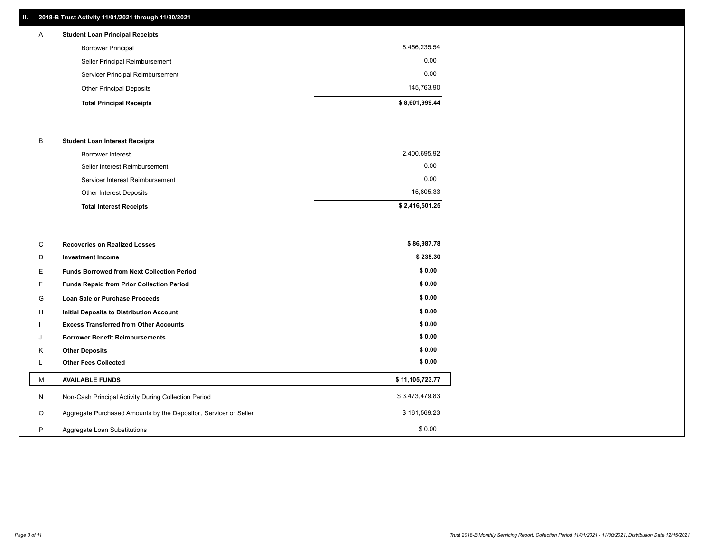# **II. 2018-B Trust Activity 11/01/2021 through 11/30/2021**

# **Total Principal Receipts \$ 8,601,999.44**  Other Principal Deposits 145,763.90 Servicer Principal Reimbursement 0.00 Seller Principal Reimbursement 0.00 Borrower Principal 8,456,235.54 A **Student Loan Principal Receipts**

## B **Student Loan Interest Receipts**

| <b>Total Interest Receipts</b>  | \$2,416,501.25 |
|---------------------------------|----------------|
| Other Interest Deposits         | 15,805.33      |
| Servicer Interest Reimbursement | 0.00           |
| Seller Interest Reimbursement   | 0.00           |
| Borrower Interest               | 2,400,695.92   |

| C       | <b>Recoveries on Realized Losses</b>                             | \$86,987.78     |
|---------|------------------------------------------------------------------|-----------------|
| D       | <b>Investment Income</b>                                         | \$235.30        |
| Е.      | <b>Funds Borrowed from Next Collection Period</b>                | \$0.00          |
| F.      | <b>Funds Repaid from Prior Collection Period</b>                 | \$0.00          |
| G       | Loan Sale or Purchase Proceeds                                   | \$0.00          |
| H       | Initial Deposits to Distribution Account                         | \$0.00          |
|         | <b>Excess Transferred from Other Accounts</b>                    | \$0.00          |
| J       | <b>Borrower Benefit Reimbursements</b>                           | \$0.00          |
| Κ       | <b>Other Deposits</b>                                            | \$0.00          |
|         | <b>Other Fees Collected</b>                                      | \$0.00          |
| м       | <b>AVAILABLE FUNDS</b>                                           | \$11,105,723.77 |
| N       | Non-Cash Principal Activity During Collection Period             | \$3,473,479.83  |
| $\circ$ | Aggregate Purchased Amounts by the Depositor, Servicer or Seller | \$161,569.23    |
| P       | Aggregate Loan Substitutions                                     | \$0.00          |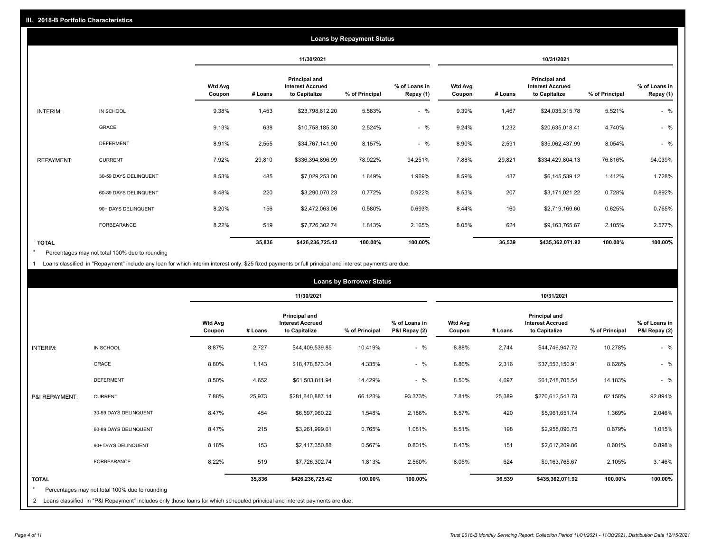|                   |                       |                          |         |                                                                  | <b>Loans by Repayment Status</b> |                            |                          |         |                                                           |                |                            |
|-------------------|-----------------------|--------------------------|---------|------------------------------------------------------------------|----------------------------------|----------------------------|--------------------------|---------|-----------------------------------------------------------|----------------|----------------------------|
|                   |                       |                          |         | 11/30/2021                                                       |                                  |                            |                          |         | 10/31/2021                                                |                |                            |
|                   |                       | <b>Wtd Avg</b><br>Coupon | # Loans | <b>Principal and</b><br><b>Interest Accrued</b><br>to Capitalize | % of Principal                   | % of Loans in<br>Repay (1) | <b>Wtd Avg</b><br>Coupon | # Loans | Principal and<br><b>Interest Accrued</b><br>to Capitalize | % of Principal | % of Loans in<br>Repay (1) |
| INTERIM:          | IN SCHOOL             | 9.38%                    | 1,453   | \$23,798,812.20                                                  | 5.583%                           | $-$ %                      | 9.39%                    | 1,467   | \$24,035,315.78                                           | 5.521%         | $-$ %                      |
|                   | GRACE                 | 9.13%                    | 638     | \$10,758,185.30                                                  | 2.524%                           | $-$ %                      | 9.24%                    | 1,232   | \$20,635,018.41                                           | 4.740%         | $-$ %                      |
|                   | <b>DEFERMENT</b>      | 8.91%                    | 2,555   | \$34,767,141.90                                                  | 8.157%                           | $-$ %                      | 8.90%                    | 2,591   | \$35,062,437.99                                           | 8.054%         | $-$ %                      |
| <b>REPAYMENT:</b> | <b>CURRENT</b>        | 7.92%                    | 29,810  | \$336,394,896.99                                                 | 78.922%                          | 94.251%                    | 7.88%                    | 29,821  | \$334,429,804.13                                          | 76.816%        | 94.039%                    |
|                   | 30-59 DAYS DELINQUENT | 8.53%                    | 485     | \$7,029,253.00                                                   | 1.649%                           | 1.969%                     | 8.59%                    | 437     | \$6,145,539.12                                            | 1.412%         | 1.728%                     |
|                   | 60-89 DAYS DELINQUENT | 8.48%                    | 220     | \$3,290,070.23                                                   | 0.772%                           | 0.922%                     | 8.53%                    | 207     | \$3,171,021.22                                            | 0.728%         | 0.892%                     |
|                   | 90+ DAYS DELINQUENT   | 8.20%                    | 156     | \$2,472,063.06                                                   | 0.580%                           | 0.693%                     | 8.44%                    | 160     | \$2,719,169.60                                            | 0.625%         | 0.765%                     |
|                   | <b>FORBEARANCE</b>    | 8.22%                    | 519     | \$7,726,302.74                                                   | 1.813%                           | 2.165%                     | 8.05%                    | 624     | \$9,163,765.67                                            | 2.105%         | 2.577%                     |
| <b>TOTAL</b>      |                       |                          | 35,836  | \$426,236,725.42                                                 | 100.00%                          | 100.00%                    |                          | 36,539  | \$435,362,071.92                                          | 100.00%        | 100.00%                    |

Percentages may not total 100% due to rounding \*

1 Loans classified in "Repayment" include any loan for which interim interest only, \$25 fixed payments or full principal and interest payments are due.

|                 |                                                                                                                              |                          |         |                                                           | <b>Loans by Borrower Status</b> |                                |                          |         |                                                           |                |                                |
|-----------------|------------------------------------------------------------------------------------------------------------------------------|--------------------------|---------|-----------------------------------------------------------|---------------------------------|--------------------------------|--------------------------|---------|-----------------------------------------------------------|----------------|--------------------------------|
|                 |                                                                                                                              |                          |         | 11/30/2021                                                |                                 |                                |                          |         | 10/31/2021                                                |                |                                |
|                 |                                                                                                                              | <b>Wtd Avg</b><br>Coupon | # Loans | Principal and<br><b>Interest Accrued</b><br>to Capitalize | % of Principal                  | % of Loans in<br>P&I Repay (2) | <b>Wtd Avg</b><br>Coupon | # Loans | Principal and<br><b>Interest Accrued</b><br>to Capitalize | % of Principal | % of Loans in<br>P&I Repay (2) |
| <b>INTERIM:</b> | IN SCHOOL                                                                                                                    | 8.87%                    | 2,727   | \$44,409,539.85                                           | 10.419%                         | $-$ %                          | 8.88%                    | 2,744   | \$44,746,947.72                                           | 10.278%        | $-$ %                          |
|                 | <b>GRACE</b>                                                                                                                 | 8.80%                    | 1,143   | \$18,478,873.04                                           | 4.335%                          | $-$ %                          | 8.86%                    | 2,316   | \$37,553,150.91                                           | 8.626%         | $-$ %                          |
|                 | <b>DEFERMENT</b>                                                                                                             | 8.50%                    | 4,652   | \$61,503,811.94                                           | 14.429%                         | $-$ %                          | 8.50%                    | 4,697   | \$61,748,705.54                                           | 14.183%        | $-$ %                          |
| P&I REPAYMENT:  | <b>CURRENT</b>                                                                                                               | 7.88%                    | 25,973  | \$281,840,887.14                                          | 66.123%                         | 93.373%                        | 7.81%                    | 25,389  | \$270,612,543.73                                          | 62.158%        | 92.894%                        |
|                 | 30-59 DAYS DELINQUENT                                                                                                        | 8.47%                    | 454     | \$6,597,960.22                                            | 1.548%                          | 2.186%                         | 8.57%                    | 420     | \$5,961,651.74                                            | 1.369%         | 2.046%                         |
|                 | 60-89 DAYS DELINQUENT                                                                                                        | 8.47%                    | 215     | \$3,261,999.61                                            | 0.765%                          | 1.081%                         | 8.51%                    | 198     | \$2,958,096.75                                            | 0.679%         | 1.015%                         |
|                 | 90+ DAYS DELINQUENT                                                                                                          | 8.18%                    | 153     | \$2,417,350.88                                            | 0.567%                          | 0.801%                         | 8.43%                    | 151     | \$2,617,209.86                                            | 0.601%         | 0.898%                         |
|                 | <b>FORBEARANCE</b>                                                                                                           | 8.22%                    | 519     | \$7,726,302.74                                            | 1.813%                          | 2.560%                         | 8.05%                    | 624     | \$9,163,765.67                                            | 2.105%         | 3.146%                         |
| <b>TOTAL</b>    |                                                                                                                              |                          | 35,836  | \$426,236,725.42                                          | 100.00%                         | 100.00%                        |                          | 36,539  | \$435,362,071.92                                          | 100.00%        | 100.00%                        |
|                 | Percentages may not total 100% due to rounding                                                                               |                          |         |                                                           |                                 |                                |                          |         |                                                           |                |                                |
|                 | 2 Loans classified in "P&I Repayment" includes only those loans for which scheduled principal and interest payments are due. |                          |         |                                                           |                                 |                                |                          |         |                                                           |                |                                |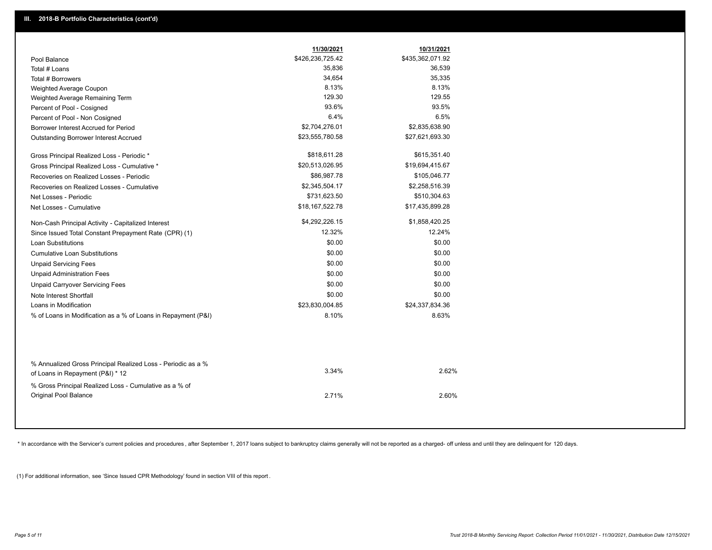|                                                                                                  | 11/30/2021       | 10/31/2021       |
|--------------------------------------------------------------------------------------------------|------------------|------------------|
| Pool Balance                                                                                     | \$426,236,725.42 | \$435,362,071.92 |
| Total # Loans                                                                                    | 35,836           | 36,539           |
| Total # Borrowers                                                                                | 34,654           | 35,335           |
| Weighted Average Coupon                                                                          | 8.13%            | 8.13%            |
| Weighted Average Remaining Term                                                                  | 129.30           | 129.55           |
| Percent of Pool - Cosigned                                                                       | 93.6%            | 93.5%            |
| Percent of Pool - Non Cosigned                                                                   | 6.4%             | 6.5%             |
| Borrower Interest Accrued for Period                                                             | \$2,704,276.01   | \$2,835,638.90   |
| Outstanding Borrower Interest Accrued                                                            | \$23,555,780.58  | \$27,621,693.30  |
| Gross Principal Realized Loss - Periodic *                                                       | \$818,611.28     | \$615,351.40     |
| Gross Principal Realized Loss - Cumulative *                                                     | \$20,513,026.95  | \$19,694,415.67  |
| Recoveries on Realized Losses - Periodic                                                         | \$86,987.78      | \$105,046.77     |
| Recoveries on Realized Losses - Cumulative                                                       | \$2,345,504.17   | \$2,258,516.39   |
| Net Losses - Periodic                                                                            | \$731,623.50     | \$510,304.63     |
| Net Losses - Cumulative                                                                          | \$18,167,522.78  | \$17,435,899.28  |
| Non-Cash Principal Activity - Capitalized Interest                                               | \$4,292,226.15   | \$1,858,420.25   |
| Since Issued Total Constant Prepayment Rate (CPR) (1)                                            | 12.32%           | 12.24%           |
| <b>Loan Substitutions</b>                                                                        | \$0.00           | \$0.00           |
| <b>Cumulative Loan Substitutions</b>                                                             | \$0.00           | \$0.00           |
| <b>Unpaid Servicing Fees</b>                                                                     | \$0.00           | \$0.00           |
| <b>Unpaid Administration Fees</b>                                                                | \$0.00           | \$0.00           |
| <b>Unpaid Carryover Servicing Fees</b>                                                           | \$0.00           | \$0.00           |
| Note Interest Shortfall                                                                          | \$0.00           | \$0.00           |
| Loans in Modification                                                                            | \$23,830,004.85  | \$24,337,834.36  |
| % of Loans in Modification as a % of Loans in Repayment (P&I)                                    | 8.10%            | 8.63%            |
|                                                                                                  |                  |                  |
| % Annualized Gross Principal Realized Loss - Periodic as a %<br>of Loans in Repayment (P&I) * 12 | 3.34%            | 2.62%            |
| % Gross Principal Realized Loss - Cumulative as a % of                                           |                  |                  |
| Original Pool Balance                                                                            | 2.71%            | 2.60%            |

\* In accordance with the Servicer's current policies and procedures, after September 1, 2017 loans subject to bankruptcy claims generally will not be reported as a charged- off unless and until they are delinquent for 120

(1) For additional information, see 'Since Issued CPR Methodology' found in section VIII of this report .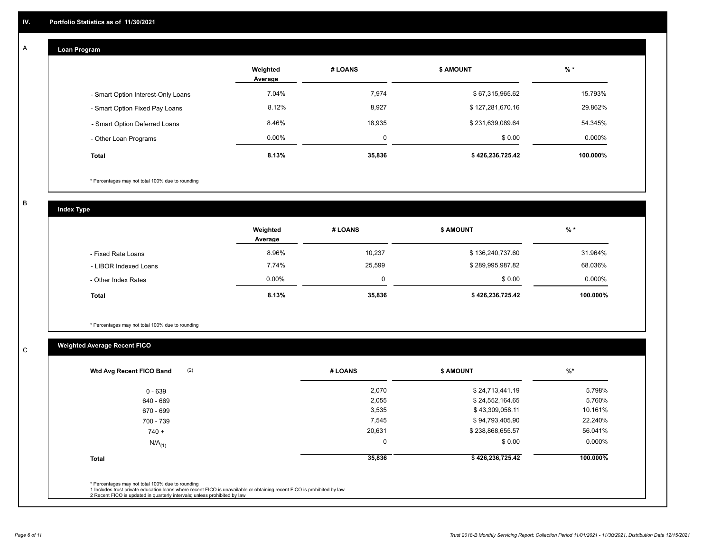#### **Loan Program**  A

|                                    | Weighted<br>Average | # LOANS | <b>\$ AMOUNT</b> | $%$ *     |
|------------------------------------|---------------------|---------|------------------|-----------|
| - Smart Option Interest-Only Loans | 7.04%               | 7,974   | \$67,315,965.62  | 15.793%   |
| - Smart Option Fixed Pay Loans     | 8.12%               | 8,927   | \$127,281,670.16 | 29.862%   |
| - Smart Option Deferred Loans      | 8.46%               | 18,935  | \$231,639,089.64 | 54.345%   |
| - Other Loan Programs              | $0.00\%$            | 0       | \$0.00           | $0.000\%$ |
| <b>Total</b>                       | 8.13%               | 35,836  | \$426,236,725.42 | 100.000%  |

\* Percentages may not total 100% due to rounding

B

C

**Index Type**

|                       | Weighted<br>Average | # LOANS | <b>\$ AMOUNT</b> | $%$ *     |
|-----------------------|---------------------|---------|------------------|-----------|
| - Fixed Rate Loans    | 8.96%               | 10,237  | \$136,240,737.60 | 31.964%   |
| - LIBOR Indexed Loans | 7.74%               | 25,599  | \$289,995,987.82 | 68.036%   |
| - Other Index Rates   | $0.00\%$            |         | \$0.00           | $0.000\%$ |
| <b>Total</b>          | 8.13%               | 35,836  | \$426,236,725.42 | 100.000%  |

\* Percentages may not total 100% due to rounding

# **Weighted Average Recent FICO**

| (2)<br>Wtd Avg Recent FICO Band                  | # LOANS     | <b>\$ AMOUNT</b> | $%$ *    |
|--------------------------------------------------|-------------|------------------|----------|
| $0 - 639$                                        | 2,070       | \$24,713,441.19  | 5.798%   |
| 640 - 669                                        | 2,055       | \$24,552,164.65  | 5.760%   |
| 670 - 699                                        | 3,535       | \$43,309,058.11  | 10.161%  |
| 700 - 739                                        | 7,545       | \$94,793,405.90  | 22.240%  |
| $740 +$                                          | 20,631      | \$238,868,655.57 | 56.041%  |
| $N/A$ <sub>(1)</sub>                             | $\mathbf 0$ | \$0.00           | 0.000%   |
| <b>Total</b>                                     | 35,836      | \$426,236,725.42 | 100.000% |
| * Percentages may not total 100% due to rounding |             |                  |          |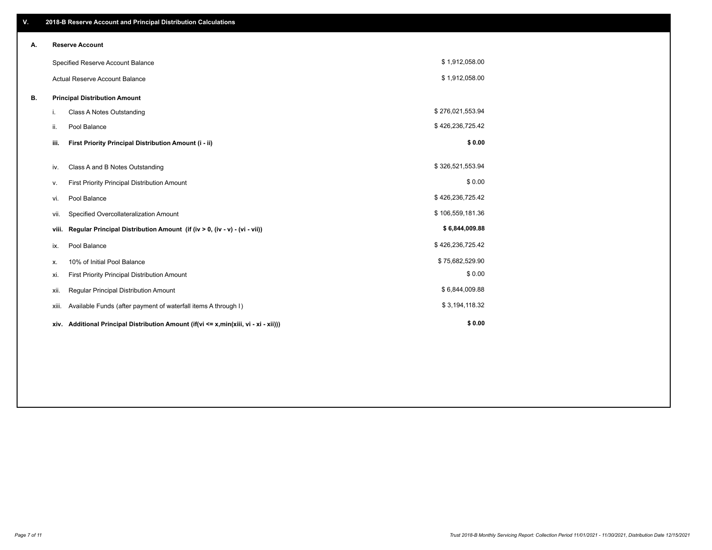| V. |                                      | 2018-B Reserve Account and Principal Distribution Calculations                  |                  |  |  |  |
|----|--------------------------------------|---------------------------------------------------------------------------------|------------------|--|--|--|
| А. |                                      | <b>Reserve Account</b>                                                          |                  |  |  |  |
|    | Specified Reserve Account Balance    |                                                                                 | \$1,912,058.00   |  |  |  |
|    |                                      | <b>Actual Reserve Account Balance</b>                                           | \$1,912,058.00   |  |  |  |
| В. | <b>Principal Distribution Amount</b> |                                                                                 |                  |  |  |  |
|    | i.                                   | <b>Class A Notes Outstanding</b>                                                | \$276,021,553.94 |  |  |  |
|    | ii.                                  | Pool Balance                                                                    | \$426,236,725.42 |  |  |  |
|    | iii.                                 | First Priority Principal Distribution Amount (i - ii)                           | \$0.00           |  |  |  |
|    | iv.                                  | Class A and B Notes Outstanding                                                 | \$326,521,553.94 |  |  |  |
|    |                                      |                                                                                 | \$0.00           |  |  |  |
|    | ν.                                   | First Priority Principal Distribution Amount                                    |                  |  |  |  |
|    | vi.                                  | Pool Balance                                                                    | \$426,236,725.42 |  |  |  |
|    | vii.                                 | Specified Overcollateralization Amount                                          | \$106,559,181.36 |  |  |  |
|    | viii.                                | Regular Principal Distribution Amount (if (iv > 0, (iv - v) - (vi - vii))       | \$6,844,009.88   |  |  |  |
|    | ix.                                  | Pool Balance                                                                    | \$426,236,725.42 |  |  |  |
|    | х.                                   | 10% of Initial Pool Balance                                                     | \$75,682,529.90  |  |  |  |
|    | xi.                                  | First Priority Principal Distribution Amount                                    | \$0.00           |  |  |  |
|    | xii.                                 | Regular Principal Distribution Amount                                           | \$6,844,009.88   |  |  |  |
|    | xiii.                                | Available Funds (after payment of waterfall items A through I)                  | \$3,194,118.32   |  |  |  |
|    | xiv.                                 | Additional Principal Distribution Amount (if(vi <= x,min(xiii, vi - xi - xii))) | \$0.00           |  |  |  |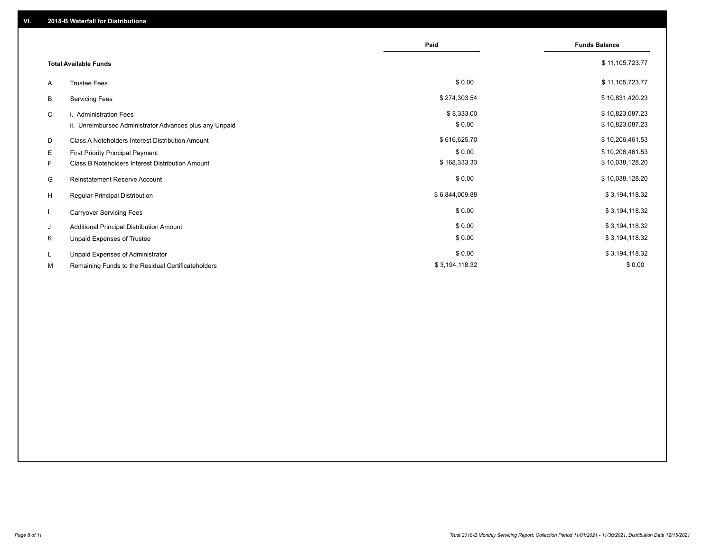|                              |                                                         | Paid           | <b>Funds Balance</b> |
|------------------------------|---------------------------------------------------------|----------------|----------------------|
| <b>Total Available Funds</b> |                                                         |                | \$11,105,723.77      |
| A                            | <b>Trustee Fees</b>                                     | \$0.00         | \$11,105,723.77      |
| B                            | <b>Servicing Fees</b>                                   | \$274,303.54   | \$10,831,420.23      |
| C                            | i. Administration Fees                                  | \$8,333.00     | \$10,823,087.23      |
|                              | ii. Unreimbursed Administrator Advances plus any Unpaid | \$0.00         | \$10,823,087.23      |
| D                            | Class A Noteholders Interest Distribution Amount        | \$616,625.70   | \$10,206,461.53      |
| Е                            | <b>First Priority Principal Payment</b>                 | \$0.00         | \$10,206,461.53      |
| F.                           | Class B Noteholders Interest Distribution Amount        | \$168,333.33   | \$10,038,128.20      |
| G                            | <b>Reinstatement Reserve Account</b>                    | \$0.00         | \$10,038,128.20      |
| H                            | Regular Principal Distribution                          | \$6,844,009.88 | \$3,194,118.32       |
|                              | <b>Carryover Servicing Fees</b>                         | \$0.00         | \$3,194,118.32       |
| J                            | Additional Principal Distribution Amount                | \$0.00         | \$3,194,118.32       |
| K                            | Unpaid Expenses of Trustee                              | \$0.00         | \$3,194,118.32       |
| L.                           | Unpaid Expenses of Administrator                        | \$0.00         | \$3,194,118.32       |
| М                            | Remaining Funds to the Residual Certificateholders      | \$3,194,118.32 | \$0.00               |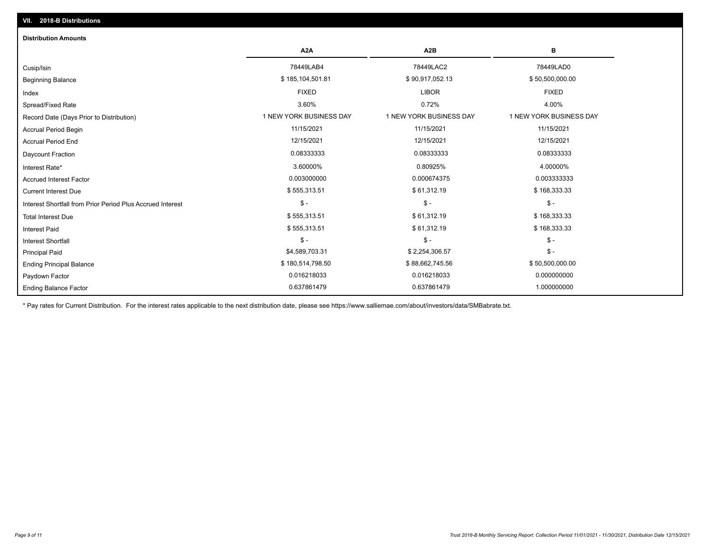| <b>Distribution Amounts</b>                                |                         |                         |                         |
|------------------------------------------------------------|-------------------------|-------------------------|-------------------------|
|                                                            | A <sub>2</sub> A        | A <sub>2</sub> B        | в                       |
| Cusip/Isin                                                 | 78449LAB4               | 78449LAC2               | 78449LAD0               |
| <b>Beginning Balance</b>                                   | \$185,104,501.81        | \$90,917,052.13         | \$50,500,000.00         |
| Index                                                      | <b>FIXED</b>            | <b>LIBOR</b>            | <b>FIXED</b>            |
| Spread/Fixed Rate                                          | 3.60%                   | 0.72%                   | 4.00%                   |
| Record Date (Days Prior to Distribution)                   | 1 NEW YORK BUSINESS DAY | 1 NEW YORK BUSINESS DAY | 1 NEW YORK BUSINESS DAY |
| Accrual Period Begin                                       | 11/15/2021              | 11/15/2021              | 11/15/2021              |
| <b>Accrual Period End</b>                                  | 12/15/2021              | 12/15/2021              | 12/15/2021              |
| Daycount Fraction                                          | 0.08333333              | 0.08333333              | 0.08333333              |
| Interest Rate*                                             | 3.60000%                | 0.80925%                | 4.00000%                |
| <b>Accrued Interest Factor</b>                             | 0.003000000             | 0.000674375             | 0.003333333             |
| <b>Current Interest Due</b>                                | \$555,313.51            | \$61,312.19             | \$168,333.33            |
| Interest Shortfall from Prior Period Plus Accrued Interest | $\mathcal{S}$ -         | $$ -$                   | $\frac{1}{2}$           |
| <b>Total Interest Due</b>                                  | \$555,313.51            | \$61,312.19             | \$168,333.33            |
| <b>Interest Paid</b>                                       | \$555,313.51            | \$61,312.19             | \$168,333.33            |
| Interest Shortfall                                         | $\mathsf{\$}$ -         | $$ -$                   | $$ -$                   |
| <b>Principal Paid</b>                                      | \$4,589,703.31          | \$2,254,306.57          | $$ -$                   |
| <b>Ending Principal Balance</b>                            | \$180,514,798.50        | \$88,662,745.56         | \$50,500,000.00         |
| Paydown Factor                                             | 0.016218033             | 0.016218033             | 0.000000000             |
| <b>Ending Balance Factor</b>                               | 0.637861479             | 0.637861479             | 1.000000000             |

\* Pay rates for Current Distribution. For the interest rates applicable to the next distribution date, please see https://www.salliemae.com/about/investors/data/SMBabrate.txt.

**VII. 2018-B Distributions**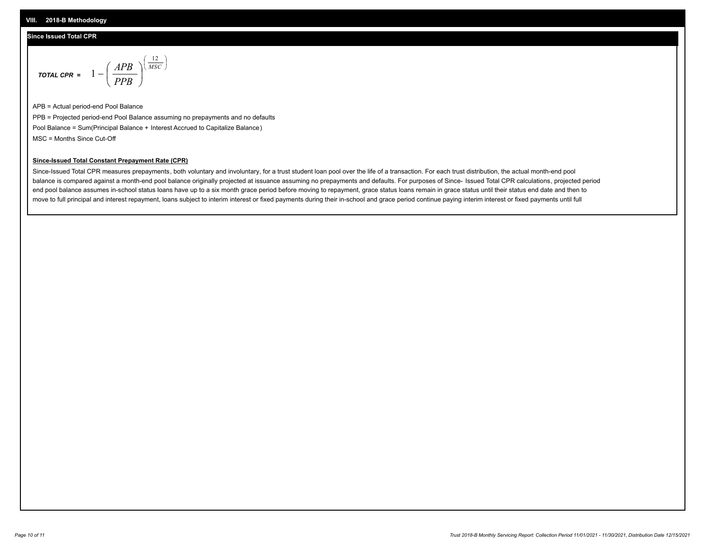# **Since Issued Total CPR**

$$
\text{total cPR} = 1 - \left(\frac{APB}{PPB}\right)^{\left(\frac{12}{MSC}\right)}
$$

APB = Actual period-end Pool Balance PPB = Projected period-end Pool Balance assuming no prepayments and no defaults Pool Balance = Sum(Principal Balance + Interest Accrued to Capitalize Balance) MSC = Months Since Cut-Off

I J Ι

## **Since-Issued Total Constant Prepayment Rate (CPR)**

Since-Issued Total CPR measures prepayments, both voluntary and involuntary, for a trust student loan pool over the life of a transaction. For each trust distribution, the actual month-end pool balance is compared against a month-end pool balance originally projected at issuance assuming no prepayments and defaults. For purposes of Since- Issued Total CPR calculations, projected period end pool balance assumes in-school status loans have up to a six month grace period before moving to repayment, grace status loans remain in grace status until their status end date and then to move to full principal and interest repayment, loans subject to interim interest or fixed payments during their in-school and grace period continue paying interim interest or fixed payments until full